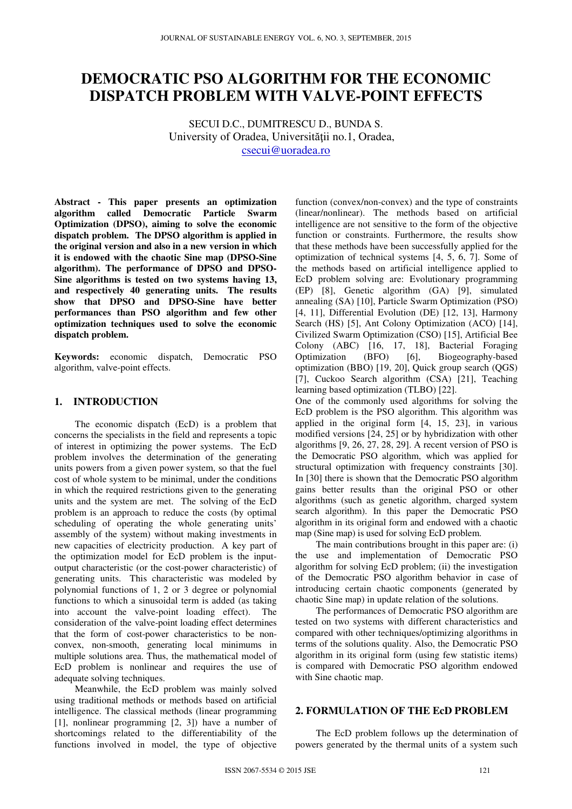# **DEMOCRATIC PSO ALGORITHM FOR THE ECONOMIC DISPATCH PROBLEM WITH VALVE-POINT EFFECTS**

SECUI D.C., DUMITRESCU D., BUNDA S. University of Oradea, Universităţii no.1, Oradea, csecui@uoradea.ro

**Abstract - This paper presents an optimization algorithm called Democratic Particle Swarm Optimization (DPSO), aiming to solve the economic dispatch problem. The DPSO algorithm is applied in the original version and also in a new version in which it is endowed with the chaotic Sine map (DPSO-Sine algorithm). The performance of DPSO and DPSO-Sine algorithms is tested on two systems having 13, and respectively 40 generating units. The results show that DPSO and DPSO-Sine have better performances than PSO algorithm and few other optimization techniques used to solve the economic dispatch problem.** 

**Keywords:** economic dispatch, Democratic PSO algorithm, valve-point effects.

## **1. INTRODUCTION**

The economic dispatch (EcD) is a problem that concerns the specialists in the field and represents a topic of interest in optimizing the power systems. The EcD problem involves the determination of the generating units powers from a given power system, so that the fuel cost of whole system to be minimal, under the conditions in which the required restrictions given to the generating units and the system are met. The solving of the EcD problem is an approach to reduce the costs (by optimal scheduling of operating the whole generating units' assembly of the system) without making investments in new capacities of electricity production. A key part of the optimization model for EcD problem is the inputoutput characteristic (or the cost-power characteristic) of generating units. This characteristic was modeled by polynomial functions of 1, 2 or 3 degree or polynomial functions to which a sinusoidal term is added (as taking into account the valve-point loading effect). The consideration of the valve-point loading effect determines that the form of cost-power characteristics to be nonconvex, non-smooth, generating local minimums in multiple solutions area. Thus, the mathematical model of EcD problem is nonlinear and requires the use of adequate solving techniques.

Meanwhile, the EcD problem was mainly solved using traditional methods or methods based on artificial intelligence. The classical methods (linear programming [1], nonlinear programming [2, 3]) have a number of shortcomings related to the differentiability of the functions involved in model, the type of objective

function (convex/non-convex) and the type of constraints (linear/nonlinear). The methods based on artificial intelligence are not sensitive to the form of the objective function or constraints. Furthermore, the results show that these methods have been successfully applied for the optimization of technical systems [4, 5, 6, 7]. Some of the methods based on artificial intelligence applied to EcD problem solving are: Evolutionary programming (EP) [8], Genetic algorithm (GA) [9], simulated annealing (SA) [10], Particle Swarm Optimization (PSO) [4, 11], Differential Evolution (DE) [12, 13], Harmony Search (HS) [5], Ant Colony Optimization (ACO) [14], Civilized Swarm Optimization (CSO) [15], Artificial Bee Colony (ABC) [16, 17, 18], Bacterial Foraging Optimization (BFO) [6], Biogeography-based optimization (BBO) [19, 20], Quick group search (QGS) [7], Cuckoo Search algorithm (CSA) [21], Teaching learning based optimization (TLBO) [22].

One of the commonly used algorithms for solving the EcD problem is the PSO algorithm. This algorithm was applied in the original form [4, 15, 23], in various modified versions [24, 25] or by hybridization with other algorithms [9, 26, 27, 28, 29]. A recent version of PSO is the Democratic PSO algorithm, which was applied for structural optimization with frequency constraints [30]. In [30] there is shown that the Democratic PSO algorithm gains better results than the original PSO or other algorithms (such as genetic algorithm, charged system search algorithm). In this paper the Democratic PSO algorithm in its original form and endowed with a chaotic map (Sine map) is used for solving EcD problem.

The main contributions brought in this paper are: (i) the use and implementation of Democratic PSO algorithm for solving EcD problem; (ii) the investigation of the Democratic PSO algorithm behavior in case of introducing certain chaotic components (generated by chaotic Sine map) in update relation of the solutions.

The performances of Democratic PSO algorithm are tested on two systems with different characteristics and compared with other techniques/optimizing algorithms in terms of the solutions quality. Also, the Democratic PSO algorithm in its original form (using few statistic items) is compared with Democratic PSO algorithm endowed with Sine chaotic map.

## **2. FORMULATION OF THE EcD PROBLEM**

The EcD problem follows up the determination of powers generated by the thermal units of a system such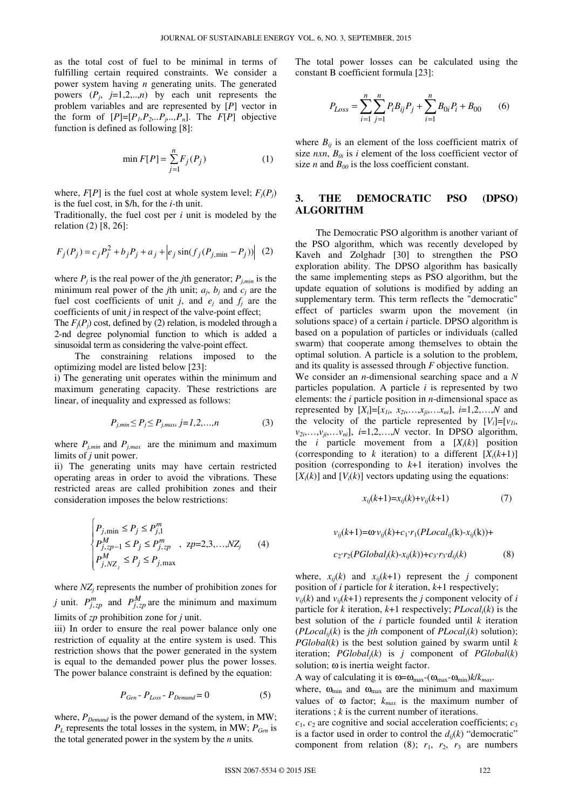as the total cost of fuel to be minimal in terms of fulfilling certain required constraints. We consider a power system having *n* generating units. The generated powers  $(P_j, j=1,2,...,n)$  by each unit represents the problem variables and are represented by [*P*] vector in the form of  $[P]=[P_1, P_2, \ldots P_j, \ldots, P_n]$ . The  $F[P]$  objective function is defined as following [8]:

$$
\min F[P] = \sum_{j=1}^{n} F_j(P_j)
$$
 (1)

where,  $F[P]$  is the fuel cost at whole system level;  $F_i(P_i)$ is the fuel cost, in \$/h, for the *i-*th unit.

Traditionally, the fuel cost per *i* unit is modeled by the relation (2) [8, 26]:

$$
F_j(P_j) = c_j P_j^2 + b_j P_j + a_j + \left| e_j \sin(f_j(P_{j, \min} - P_j)) \right| (2)
$$

where  $P_j$  is the real power of the *j*th generator;  $P_{j,min}$  is the minimum real power of the *j*th unit;  $a_j$ ,  $b_j$  and  $c_j$  are the fuel cost coefficients of unit *j*, and  $e_j$  and  $f_j$  are the coefficients of unit *j* in respect of the valve-point effect;

The  $F_i(P_i)$  cost, defined by (2) relation, is modeled through a 2-nd degree polynomial function to which is added a sinusoidal term as considering the valve-point effect.

The constraining relations imposed to the optimizing model are listed below [23]:

i) The generating unit operates within the minimum and maximum generating capacity. These restrictions are linear, of inequality and expressed as follows:

$$
P_{j,min} \le P_j \le P_{j,max} \ j = 1, 2, ..., n \tag{3}
$$

where  $P_{j,min}$  and  $P_{j,max}$  are the minimum and maximum limits of *j* unit power.

ii) The generating units may have certain restricted operating areas in order to avoid the vibrations. These restricted areas are called prohibition zones and their consideration imposes the below restrictions:

$$
\begin{cases}\nP_{j,\min} \le P_j \le P_{j,1}^m \\
P_{j,zp-1}^M \le P_j \le P_{j,zp}^m, \quad zp=2,3,...,NZ_j \\
P_{j,NZ_j}^M \le P_j \le P_{j,\max}\n\end{cases} (4)
$$

where  $NZ_j$  represents the number of prohibition zones for *j* unit.  $P_{j, zp}^{m}$  and  $P_{j, zp}^{M}$  are the minimum and maximum limits of *zp* prohibition zone for *j* unit.

iii) In order to ensure the real power balance only one restriction of equality at the entire system is used. This restriction shows that the power generated in the system is equal to the demanded power plus the power losses. The power balance constraint is defined by the equation:

$$
P_{Gen} - P_{Loss} - P_{Demand} = 0 \tag{5}
$$

where,  $P_{Demand}$  is the power demand of the system, in MW;  $P_L$  represents the total losses in the system, in MW;  $P_{Gen}$  is the total generated power in the system by the *n* units*.*

The total power losses can be calculated using the constant B coefficient formula [23]:

$$
P_{Loss} = \sum_{i=1}^{n} \sum_{j=1}^{n} P_i B_{ij} P_j + \sum_{i=1}^{n} B_{0i} P_i + B_{00} \qquad (6)
$$

where  $B_{ii}$  is an element of the loss coefficient matrix of size  $nxn$ ,  $B_{0i}$  is *i* element of the loss coefficient vector of size *n* and  $B_{00}$  is the loss coefficient constant.

## **3. THE DEMOCRATIC PSO (DPSO) ALGORITHM**

The Democratic PSO algorithm is another variant of the PSO algorithm, which was recently developed by Kaveh and Zolghadr [30] to strengthen the PSO exploration ability. The DPSO algorithm has basically the same implementing steps as PSO algorithm, but the update equation of solutions is modified by adding an supplementary term. This term reflects the "democratic" effect of particles swarm upon the movement (in solutions space) of a certain *i* particle. DPSO algorithm is based on a population of particles or individuals (called swarm) that cooperate among themselves to obtain the optimal solution. A particle is a solution to the problem, and its quality is assessed through *F* objective function.

We consider an *n*-dimensional searching space and a *N* particles population. A particle *i* is represented by two elements: the *i* particle position in *n*-dimensional space as represented by  $[X_i]=[x_{1i}, x_{2i},...,x_{ii},...x_{ni}], i=1,2,...,N$  and the velocity of the particle represented by  $[V_i]=[v_i]$ ,  $v_{2i},...,v_{ji},...v_{ni}$ ,  $i=1,2,...,N$  vector. In DPSO algorithm, the *i* particle movement from a  $[X_i(k)]$  position (corresponding to *k* iteration) to a different  $[X_i(k+1)]$ position (corresponding to *k*+1 iteration) involves the  $[X_i(k)]$  and  $[V_i(k)]$  vectors updating using the equations:

$$
x_{ij}(k+1) = x_{ij}(k) + v_{ij}(k+1)
$$
 (7)

$$
v_{ij}(k+1) = \omega v_{ij}(k) + c_1 \cdot r_1 (PLocal_{ij}(k) - x_{ij}(k)) +
$$
  

$$
c_2 \cdot r_2 (PGlobal_{j}(k) - x_{ij}(k)) + c_3 \cdot r_3 \cdot d_{ij}(k)
$$
 (8)

where,  $x_{ii}(k)$  and  $x_{ii}(k+1)$  represent the *j* component position of *i* particle for *k* iteration, *k*+1 respectively;

 $v_{ii}(k)$  and  $v_{ii}(k+1)$  represents the *j* component velocity of *i* particle for *k* iteration, *k*+1 respectively; *PLocali*(*k*) is the best solution of the *i* particle founded until *k* iteration ( $PLocal<sub>ii</sub>(k)$  is the *jth* component of  $PLocal<sub>i</sub>(k)$  solution);  $PGlobal(k)$  is the best solution gained by swarm until  $k$ iteration; *PGlobalj*(*k*) is *j* component of *PGlobal*(*k*) solution; ω is inertia weight factor.

A way of calculating it is  $\omega = \omega_{\text{max}} - (\omega_{\text{max}} - \omega_{\text{min}})k/k_{\text{max}}$ .

where,  $\omega_{\text{min}}$  and  $\omega_{\text{max}}$  are the minimum and maximum values of  $\omega$  factor;  $k_{max}$  is the maximum number of iterations ; *k* is the current number of iterations.

 $c_1$ ,  $c_2$  are cognitive and social acceleration coefficients;  $c_3$ is a factor used in order to control the  $d_{ii}(k)$  "democratic" component from relation (8);  $r_1$ ,  $r_2$ ,  $r_3$  are numbers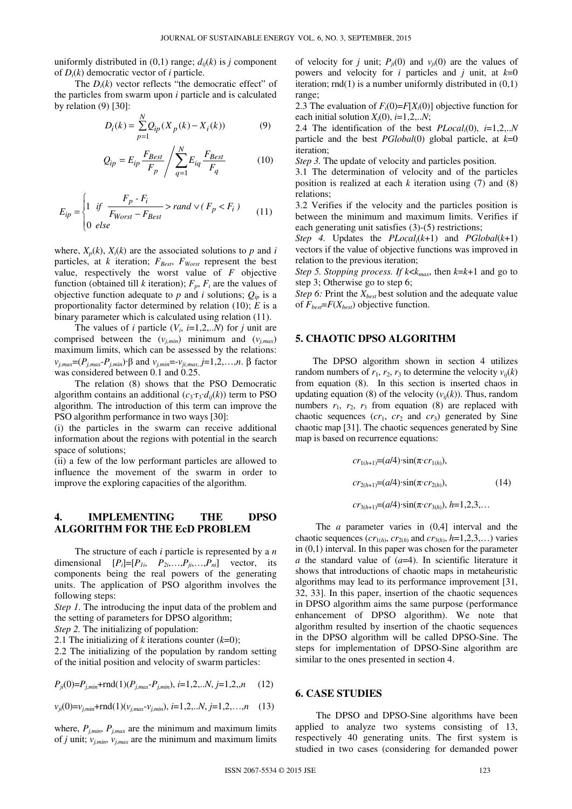uniformly distributed in  $(0,1)$  range;  $d_{ii}(k)$  is *j* component of *Di*(*k*) democratic vector of *i* particle.

The  $D_i(k)$  vector reflects "the democratic effect" of the particles from swarm upon *i* particle and is calculated by relation (9) [30]:

$$
D_i(k) = \sum_{p=1}^{N} Q_{ip}(X_p(k) - X_i(k))
$$
 (9)

$$
Q_{ip} = E_{ip} \frac{F_{Best}}{F_p} / \sum_{q=1}^{N} E_{iq} \frac{F_{Best}}{F_q}
$$
 (10)

$$
E_{ip} = \begin{cases} 1 & \text{if } \frac{F_p - F_i}{F_{Worst} - F_{Best}} > rand \vee (F_p < F_i) \\ 0 & \text{else} \end{cases} \tag{11}
$$

where,  $X_p(k)$ ,  $X_i(k)$  are the associated solutions to  $p$  and  $i$ particles, at *k* iteration;  $F_{\text{Best}}$ ,  $F_{\text{Worst}}$  represent the best value, respectively the worst value of *F* objective function (obtained till *k* iteration);  $F_p$ ,  $F_i$  are the values of objective function adequate to  $p$  and  $i$  solutions;  $Q_{ip}$  is a proportionality factor determined by relation (10); *E* is a binary parameter which is calculated using relation (11).

The values of *i* particle  $(V_i, i=1,2,..N)$  for *j* unit are comprised between the  $(v_{j,min})$  minimum and  $(v_{j,max})$ maximum limits, which can be assessed by the relations: *v*<sub>*j,max*</sub>=(*P*<sub>*j,max*</sub>-*P*<sub>*j,min*</sub>)·β and *v*<sub>*j,min*</sub>=-*v*<sub>*ji,max*, *j*=1,2,…,*n*. β factor</sub> was considered between 0.1 and 0.25.

The relation (8) shows that the PSO Democratic algorithm contains an additional  $(c_3 \cdot r_3 \cdot d_{ii}(k))$  term to PSO algorithm. The introduction of this term can improve the PSO algorithm performance in two ways [30]:

(i) the particles in the swarm can receive additional information about the regions with potential in the search space of solutions;

(ii) a few of the low performant particles are allowed to influence the movement of the swarm in order to improve the exploring capacities of the algorithm.

## **4. IMPLEMENTING THE DPSO ALGORITHM FOR THE EcD PROBLEM**

The structure of each *i* particle is represented by a *n* dimensional  $[P_i]=[P_{1i}, P_{2i},...,P_{i},...,P_{ni}]$  vector, its components being the real powers of the generating units. The application of PSO algorithm involves the following steps:

*Step 1.* The introducing the input data of the problem and the setting of parameters for DPSO algorithm;

*Step 2.* The initializing of population:

2.1 The initializing of *k* iterations counter (*k*=0);

2.2 The initializing of the population by random setting of the initial position and velocity of swarm particles:

$$
P_{ji}(0) = P_{j,min} + \text{rnd}(1)(P_{j,max} - P_{j,min}), \ i = 1, 2, \dots N, \ j = 1, 2, \dots n \tag{12}
$$

 $v_{ji}(0) = v_{j,min} + \text{rnd}(1)(v_{j,max} - v_{j,min}), i = 1, 2, \ldots, N, j = 1, 2, \ldots, n$  (13)

where,  $P_{j,min}$ ,  $P_{j,max}$  are the minimum and maximum limits of *j* unit;  $v_{j,min}$ ,  $v_{j,max}$  are the minimum and maximum limits

of velocity for *j* unit;  $P_{ii}(0)$  and  $v_{ii}(0)$  are the values of powers and velocity for *i* particles and *j* unit, at  $k=0$ iteration;  $rnd(1)$  is a number uniformly distributed in  $(0,1)$ range;

2.3 The evaluation of  $F_i(0) = F[X_i(0)]$  objective function for each initial solution  $X_i(0)$ ,  $i=1,2...N$ ;

2.4 The identification of the best *PLocali*(0), *i*=1,2,..*N* particle and the best *PGlobal*(0) global particle, at *k*=0 iteration;

*Step 3.* The update of velocity and particles position.

3.1 The determination of velocity and of the particles position is realized at each *k* iteration using (7) and (8) relations;

3.2 Verifies if the velocity and the particles position is between the minimum and maximum limits. Verifies if each generating unit satisfies (3)-(5) restrictions;

*Step 4.* Updates the *PLocali*(*k*+1) and *PGlobal*(*k*+1) vectors if the value of objective functions was improved in relation to the previous iteration;

*Step 5. Stopping process. If*  $k < k_{max}$ , then  $k = k+1$  and go to step 3; Otherwise go to step 6;

*Step 6:* Print the *Xbest* best solution and the adequate value of  $F_{best} = F(X_{best})$  objective function.

## **5. CHAOTIC DPSO ALGORITHM**

The DPSO algorithm shown in section 4 utilizes random numbers of  $r_1$ ,  $r_2$ ,  $r_3$  to determine the velocity  $v_{ij}(k)$ from equation (8). In this section is inserted chaos in updating equation (8) of the velocity  $(v_{ij}(k))$ . Thus, random numbers  $r_1$ ,  $r_2$ ,  $r_3$  from equation (8) are replaced with chaotic sequences  $(cr_1, cr_2 \text{ and } cr_3)$  generated by Sine chaotic map [31]. The chaotic sequences generated by Sine map is based on recurrence equations:

$$
cr_{1(h+1)} = (a/4) \cdot \sin(\pi \cdot cr_{1(h)}),
$$
  
\n
$$
cr_{2(h+1)} = (a/4) \cdot \sin(\pi \cdot cr_{2(h)}),
$$
  
\n
$$
cr_{3(h+1)} = (a/4) \cdot \sin(\pi \cdot cr_{3(h)}), h=1,2,3,...
$$
\n(14)

The *a* parameter varies in (0,4] interval and the chaotic sequences  $(cr_{1(h)}, cr_{2(h)}$  and  $cr_{3(h)}, h=1,2,3,...)$  varies in (0,1) interval. In this paper was chosen for the parameter *a* the standard value of (*a*=4). In scientific literature it shows that introductions of chaotic maps in metaheuristic algorithms may lead to its performance improvement [31, 32, 33]. In this paper, insertion of the chaotic sequences in DPSO algorithm aims the same purpose (performance enhancement of DPSO algorithm). We note that algorithm resulted by insertion of the chaotic sequences in the DPSO algorithm will be called DPSO-Sine. The steps for implementation of DPSO-Sine algorithm are similar to the ones presented in section 4.

## **6. CASE STUDIES**

The DPSO and DPSO-Sine algorithms have been applied to analyze two systems consisting of 13, respectively 40 generating units. The first system is studied in two cases (considering for demanded power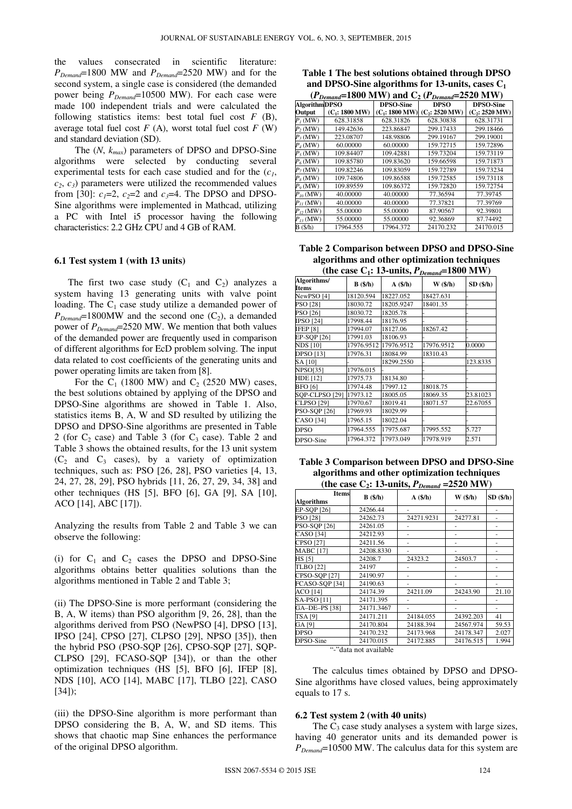the values consecrated in scientific literature: *PDemand*=1800 MW and *PDemand*=2520 MW) and for the second system, a single case is considered (the demanded power being *PDemand*=10500 MW). For each case were made 100 independent trials and were calculated the following statistics items: best total fuel cost *F* (B), average total fuel cost  $F(A)$ , worst total fuel cost  $F(W)$ and standard deviation (SD).

The (*N*, *kmax*) parameters of DPSO and DPSO-Sine algorithms were selected by conducting several experimental tests for each case studied and for the (*c1*,  $c_2, c_3$  parameters were utilized the recommended values from [30]:  $c_1=2$ ,  $c_2=2$  and  $c_3=4$ . The DPSO and DPSO-Sine algorithms were implemented in Mathcad, utilizing a PC with Intel i5 processor having the following characteristics: 2.2 GHz CPU and 4 GB of RAM.

#### **6.1 Test system 1 (with 13 units)**

The first two case study  $(C_1$  and  $C_2$ ) analyzes a system having 13 generating units with valve point loading. The  $C_1$  case study utilize a demanded power of  $P_{\text{Demand}}$ =1800MW and the second one  $(C_2)$ , a demanded power of *PDemand*=2520 MW. We mention that both values of the demanded power are frequently used in comparison of different algorithms for EcD problem solving. The input data related to cost coefficients of the generating units and power operating limits are taken from [8].

For the  $C_1$  (1800 MW) and  $C_2$  (2520 MW) cases, the best solutions obtained by applying of the DPSO and DPSO-Sine algorithms are showed in Table 1. Also, statistics items B, A, W and SD resulted by utilizing the DPSO and DPSO-Sine algorithms are presented in Table 2 (for  $C_2$  case) and Table 3 (for  $C_3$  case). Table 2 and Table 3 shows the obtained results, for the 13 unit system  $(C_2$  and  $C_3$  cases), by a variety of optimization techniques, such as: PSO [26, 28], PSO varieties [4, 13, 24, 27, 28, 29], PSO hybrids [11, 26, 27, 29, 34, 38] and other techniques (HS [5], BFO [6], GA [9], SA [10], ACO [14], ABC [17]).

Analyzing the results from Table 2 and Table 3 we can observe the following:

(i) for  $C_1$  and  $C_2$  cases the DPSO and DPSO-Sine algorithms obtains better qualities solutions than the algorithms mentioned in Table 2 and Table 3;

(ii) The DPSO-Sine is more performant (considering the B, A, W items) than PSO algorithm [9, 26, 28], than the algorithms derived from PSO (NewPSO [4], DPSO [13], IPSO [24], CPSO [27], CLPSO [29], NPSO [35]), then the hybrid PSO (PSO-SQP [26], CPSO-SQP [27], SQP-CLPSO [29], FCASO-SQP [34]), or than the other optimization techniques (HS [5], BFO [6], IFEP [8], NDS [10], ACO [14], MABC [17], TLBO [22], CASO [34]);

(iii) the DPSO-Sine algorithm is more performant than DPSO considering the B, A, W, and SD items. This shows that chaotic map Sine enhances the performance of the original DPSO algorithm.

|  |  | Table 1 The best solutions obtained through DPSO   |
|--|--|----------------------------------------------------|
|  |  | and DPSO-Sine algorithms for 13-units, cases $C_1$ |
|  |  |                                                    |

| $(P_{Demand} = 1800 \text{ MW})$ and $C_2$ ( $P_{Demand} = 2520 \text{ MW}$ ) |                  |                  |                  |                  |  |
|-------------------------------------------------------------------------------|------------------|------------------|------------------|------------------|--|
| <b>AlgorithmDPSO</b>                                                          |                  | <b>DPSO-Sine</b> | <b>DPSO</b>      | <b>DPSO-Sine</b> |  |
| Output                                                                        | $(C_1: 1800 MW)$ | $(C_1: 1800 MW)$ | $(C_2: 2520$ MW) | $(C_2: 2520$ MW) |  |
| $P_i$ (MW)                                                                    | 628.31858        | 628.31826        | 628.30838        | 628.31731        |  |
| $P_2(MW)$                                                                     | 149.42636        | 223.86847        | 299.17433        | 299.18466        |  |
| $P_3(MW)$                                                                     | 223.08707        | 148.98806        | 299.19167        | 299.19001        |  |
| $P_4$ (MW)                                                                    | 60.00000         | 60.00000         | 159.72715        | 159.72896        |  |
| $P_5(MW)$                                                                     | 109.84407        | 109.42881        | 159.73204        | 159.73119        |  |
| $P_6$ (MW)                                                                    | 109.85780        | 109.83620        | 159.66598        | 159.71873        |  |
| $P_7(MW)$                                                                     | 109.82246        | 109.83059        | 159.72789        | 159.73234        |  |
| $P_8(MW)$                                                                     | 109.74806        | 109.86588        | 159.72585        | 159.73118        |  |
| $P_9$ (MW)                                                                    | 109.89559        | 109.86372        | 159.72820        | 159.72754        |  |
| $P_{10}$ (MW)                                                                 | 40.00000         | 40.00000         | 77.36594         | 77.39745         |  |
| $P_{11}$ (MW)                                                                 | 40.00000         | 40.00000         | 77.37821         | 77.39769         |  |
| $P_{12}$ (MW)                                                                 | 55,00000         | 55.00000         | 87.90567         | 92.39801         |  |
| $P_{13}$ (MW)                                                                 | 55,00000         | 55,00000         | 92.36869         | 87.74492         |  |
| B(S/h)                                                                        | 17964.555        | 17964.372        | 24170.232        | 24170.015        |  |

**Table 2 Comparison between DPSO and DPSO-Sine algorithms and other optimization techniques**  (the case  $C_1$ : 13-units,  $P_{Demand}$ =1800 MW)

| Algorithms/<br>Items  | $B($ /h $)$ | A(\$/h)    | $W$ $(\frac{\epsilon}{h})$ | SD (\$/h) |
|-----------------------|-------------|------------|----------------------------|-----------|
| NewPSO <sub>[4]</sub> | 18120.594   | 18227.052  | 18427.631                  |           |
| PSO [28]              | 18030.72    | 18205.9247 | 18401.35                   |           |
| PSO [26]              | 18030.72    | 18205.78   |                            |           |
| IPSO [24]             | 17998.44    | 18176.95   |                            |           |
| <b>IFEP [8]</b>       | 17994.07    | 18127.06   | 18267.42                   |           |
| EP-SQP [26]           | 17991.03    | 18106.93   |                            |           |
| <b>NDS [10]</b>       | 17976.9512  | 17976.9512 | 17976.9512                 | 0.0000    |
| <b>DPSO</b> [13]      | 17976.31    | 18084.99   | 18310.43                   |           |
| SA [10]               |             | 18299.2550 |                            | 123.8335  |
| <b>NPSO[35]</b>       | 17976.015   |            |                            |           |
| HDE [12]              | 17975.73    | 18134.80   |                            |           |
| <b>BFO</b> [6]        | 17974.48    | 17997.12   | 18018.75                   |           |
| SOP-CLPSO [29]        | 17973.12    | 18005.05   | 18069.35                   | 23.81023  |
| <b>CLPSO</b> [29]     | 17970.67    | 18019.41   | 18071.57                   | 22.67055  |
| <b>PSO-SQP</b> [26]   | 17969.93    | 18029.99   |                            |           |
| CASO [34]             | 17965.15    | 18022.04   |                            |           |
| <b>DPSO</b>           | 17964.555   | 17975.687  | 17995.552                  | 5.727     |
| DPSO-Sine             | 17964.372   | 17973.049  | 17978.919                  | 2.571     |

| Table 3 Comparison between DPSO and DPSO-Sine      |
|----------------------------------------------------|
| algorithms and other optimization techniques       |
| (the case $C_2$ : 13-units, $P_{Demand}$ =2520 MW) |

|                                   |            |               | .                   |               |
|-----------------------------------|------------|---------------|---------------------|---------------|
| <b>Items</b><br><b>Algorithms</b> | $B($ /h)   | $A($ \$/h $)$ | $W$ $(\frac{4}{h})$ | $SD($ %/h $)$ |
| EP-SQP [26]                       | 24266.44   |               |                     |               |
| <b>PSO [28]</b>                   | 24262.73   | 24271.9231    | 24277.81            |               |
| <b>PSO-SQP</b> [26]               | 24261.05   |               |                     |               |
| <b>CASO</b> [34]                  | 24212.93   |               |                     |               |
| <b>CPSO</b> [27]                  | 24211.56   |               |                     |               |
| <b>MABC</b> [17]                  | 24208.8330 |               |                     | ۰             |
| HS [5]                            | 24208.7    | 24323.2       | 24503.7             |               |
| <b>TLBO</b> [22]                  | 24197      |               |                     |               |
| CPSO-SQP [27]                     | 24190.97   |               |                     |               |
| FCASO-SOP [34]                    | 24190.63   |               |                     |               |
| <b>ACO</b> [14]                   | 24174.39   | 24211.09      | 24243.90            | 21.10         |
| SA-PSO [11]                       | 24171.395  |               |                     |               |
| GA-DE-PS [38]                     | 24171.3467 |               |                     |               |
| TSA [9]                           | 24171.211  | 24184.055     | 24392.203           | 41            |
| GA [9]                            | 24170.804  | 24188.394     | 24567.974           | 59.53         |
| <b>DPSO</b>                       | 24170.232  | 24173.968     | 24178.347           | 2.027         |
| DPSO-Sine                         | 24170.015  | 24172.885     | 24176.515           | 1.994         |
|                                   |            |               |                     |               |

"-"data not available

The calculus times obtained by DPSO and DPSO-Sine algorithms have closed values, being approximately equals to 17 s.

#### **6.2 Test system 2 (with 40 units)**

The  $C_3$  case study analyses a system with large sizes, having 40 generator units and its demanded power is *PDemand*=10500 MW. The calculus data for this system are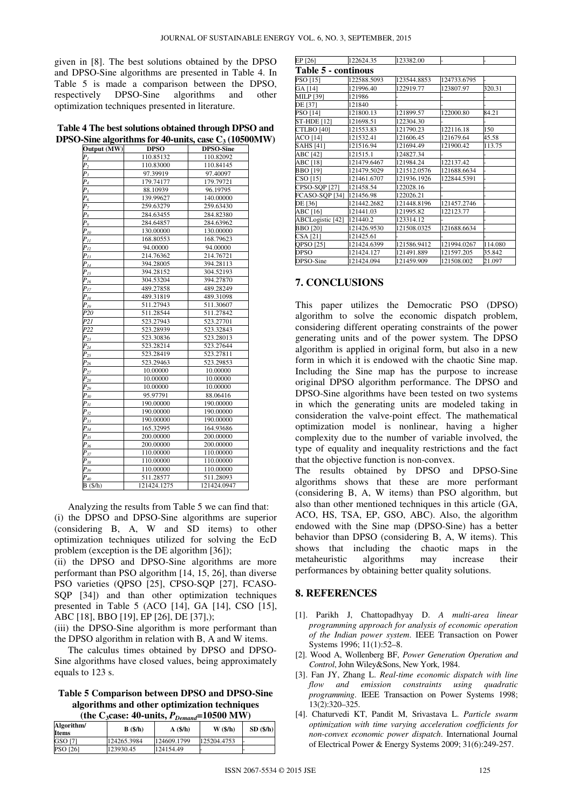given in [8]. The best solutions obtained by the DPSO and DPSO-Sine algorithms are presented in Table 4. In Table 5 is made a comparison between the DPSO, respectively DPSO-Sine algorithms and other optimization techniques presented in literature.

**Table 4 The best solutions obtained through DPSO and DPSO-Sine algorithms for 40-units, case C3 (10500MW)** 

| ----<br><b>Output (MW)</b> | <b>DPSO</b> | <b>DPSO-Sine</b> |  |
|----------------------------|-------------|------------------|--|
| P <sub>I</sub>             | 110.85132   | 110.82092        |  |
| P <sub>2</sub>             | 110.83000   | 110.84145        |  |
| $P_3$                      | 97.39919    | 97.40097         |  |
| $P_4$                      | 179.74177   | 179.79721        |  |
| $P_5$                      | 88.10939    | 96.19795         |  |
| $P_6$                      | 139.99627   | 140.00000        |  |
| $P_7$                      | 259.63279   | 259.63430        |  |
| $P_8$                      | 284.63455   | 284.82380        |  |
| $P_{9}$                    | 284.64857   | 284.63962        |  |
| $P_{10}$                   | 130.00000   | 130.00000        |  |
| $P_{II}$                   | 168.80553   | 168.79623        |  |
| $P_{12}$                   | 94.00000    | 94.00000         |  |
| $P_{13}$                   | 214.76362   | 214.76721        |  |
| $P_{I4}$                   | 394.28005   | 394.28113        |  |
| $P_{15}$                   | 394.28152   | 304.52193        |  |
| $P_{16}$                   | 304.53204   | 394.27870        |  |
| $P_{17}$                   | 489.27858   | 489.28249        |  |
| $P_{18}$                   | 489.31819   | 489.31098        |  |
| $P_{I9}$                   | 511.27943   | 511.30607        |  |
| P20                        | 511.28544   | 511.27842        |  |
| P <sub>21</sub>            | 523.27943   | 523,27701        |  |
| $\overline{P22}$           | 523.28939   | 523.32843        |  |
| $P_{23}$                   | 523.30836   | 523.28013        |  |
| $P_{24}$                   | 523.28214   | 523.27644        |  |
| $P_{25}$                   | 523.28419   | 523.27811        |  |
| $P_{26}$                   | 523.29463   | 523.29853        |  |
| $P_{27}$                   | 10.00000    | 10.00000         |  |
| $P_{28}$                   | 10.00000    | 10.00000         |  |
| $P_{29}$                   | 10.00000    | 10.00000         |  |
| $P_{30}$                   | 95.97791    | 88.06416         |  |
| $P_{3I}$                   | 190.00000   | 190.00000        |  |
| $P_{32}$                   | 190.00000   | 190.00000        |  |
| $P_{33}$                   | 190.00000   | 190.00000        |  |
| $P_{34}$                   | 165.32995   | 164.93686        |  |
| $P_{35}$                   | 200.00000   | 200.00000        |  |
| $P_{36}$                   | 200.00000   | 200.00000        |  |
| $P_{37}$                   | 110.00000   | 110.00000        |  |
| $P_{38}$                   | 110.00000   | 110.00000        |  |
| $P_{39}$                   | 110.00000   | 110.00000        |  |
| $P_{40}$                   | 511.28577   | 511.28093        |  |
| B(S/h)                     | 121424.1275 | 121424.0947      |  |

Analyzing the results from Table 5 we can find that: (i) the DPSO and DPSO-Sine algorithms are superior (considering B, A, W and SD items) to other optimization techniques utilized for solving the EcD problem (exception is the DE algorithm [36]);

(ii) the DPSO and DPSO-Sine algorithms are more performant than PSO algorithm [14, 15, 26], than diverse PSO varieties (QPSO [25], CPSO-SQP [27], FCASO-SOP [34]) and than other optimization techniques presented in Table 5 (ACO [14], GA [14], CSO [15], ABC [18], BBO [19], EP [26], DE [37],);

(iii) the DPSO-Sine algorithm is more performant than the DPSO algorithm in relation with B, A and W items.

The calculus times obtained by DPSO and DPSO-Sine algorithms have closed values, being approximately equals to 123 s.

### **Table 5 Comparison between DPSO and DPSO-Sine algorithms and other optimization techniques**<br>(the  $C_2$ case: 40-units  $P_2 = 10500 \text{ MW}$ )  $(1)$ **degree:**  $40$ -units,  $P_p$

| Algorithm/<br><b>Items</b> | B(S/h)      | A(\$/h)     | $W$ (\$/h)  | SD(S/h) |
|----------------------------|-------------|-------------|-------------|---------|
| GSO [7]                    | 124265.3984 | 124609.1799 | 125204.4753 |         |
| <b>PSO</b> [26]            | 123930.45   | 124154.49   |             |         |

| EP [26]                    | 122624.35   | 123382.00   |             |         |
|----------------------------|-------------|-------------|-------------|---------|
| <b>Table 5 - continous</b> |             |             |             |         |
| <b>PSO</b> [15]            | 122588.5093 | 123544.8853 | 124733.6795 |         |
| GA [14]                    | 121996.40   | 122919.77   | 123807.97   | 320.31  |
| <b>MILP</b> [39]           | 121986      |             |             |         |
| DE [37]                    | 121840      |             |             |         |
| PSO [14]                   | 121800.13   | 121899.57   | 122000.80   | 84.21   |
| <b>ST-HDE</b> [12]         | 121698.51   | 122304.30   |             |         |
| <b>CTLBO</b> [40]          | 121553.83   | 121790.23   | 122116.18   | 150     |
| <b>ACO</b> [14]            | 121532.41   | 121606.45   | 121679.64   | 45.58   |
| <b>SAHS</b> [41]           | 121516.94   | 121694.49   | 121900.42   | 113.75  |
| ABC [42]                   | 121515.1    | 124827.34   |             |         |
| <b>ABC</b> [18]            | 121479.6467 | 121984.24   | 122137.42   |         |
| BBO [19]                   | 121479.5029 | 121512.0576 | 121688.6634 |         |
| CSO [15]                   | 121461.6707 | 121936.1926 | 122844.5391 |         |
| CPSO-SQP [27]              | 121458.54   | 122028.16   |             |         |
| FCASO-SQP [34]             | 121456.98   | 122026.21   |             |         |
| DE [36]                    | 121442.2682 | 121448.8196 | 121457.2746 |         |
| ABC [16]                   | 121441.03   | 121995.82   | 122123.77   |         |
| ABCLogistic [42]           | 121440.2    | 123314.12   |             |         |
| <b>BBO</b> [20]            | 121426.9530 | 121508.0325 | 121688.6634 |         |
| CSA [21]                   | 121425.61   |             |             |         |
| QPSO [25]                  | 121424.6399 | 121586.9412 | 121994.0267 | 114.080 |
| <b>DPSO</b>                | 121424.127  | 121491.889  | 121597.205  | 35.842  |
| DPSO-Sine                  | 121424.094  | 121459.909  | 121508.002  | 21.097  |

# **7. CONCLUSIONS**

This paper utilizes the Democratic PSO (DPSO) algorithm to solve the economic dispatch problem, considering different operating constraints of the power generating units and of the power system. The DPSO algorithm is applied in original form, but also in a new form in which it is endowed with the chaotic Sine map. Including the Sine map has the purpose to increase original DPSO algorithm performance. The DPSO and DPSO-Sine algorithms have been tested on two systems in which the generating units are modeled taking in consideration the valve-point effect. The mathematical optimization model is nonlinear, having a higher complexity due to the number of variable involved, the type of equality and inequality restrictions and the fact that the objective function is non-convex.

The results obtained by DPSO and DPSO-Sine algorithms shows that these are more performant (considering B, A, W items) than PSO algorithm, but also than other mentioned techniques in this article (GA, ACO, HS, TSA, EP, GSO, ABC). Also, the algorithm endowed with the Sine map (DPSO-Sine) has a better behavior than DPSO (considering B, A, W items). This shows that including the chaotic maps in the metaheuristic algorithms may increase their performances by obtaining better quality solutions.

# **8. REFERENCES**

- [1]. Parikh J, Chattopadhyay D. *A multi-area linear programming approach for analysis of economic operation of the Indian power system*. IEEE Transaction on Power Systems 1996; 11(1):52–8.
- [2]. Wood A, Wollenberg BF, *Power Generation Operation and Control*, John Wiley&Sons, New York, 1984.
- [3]. Fan JY, Zhang L. *Real-time economic dispatch with line flow and emission constraints using quadratic programming*. IEEE Transaction on Power Systems 1998; 13(2):320–325.
- [4]. Chaturvedi KT, Pandit M, Srivastava L. *Particle swarm optimization with time varying acceleration coefficients for non-convex economic power dispatch*. International Journal of Electrical Power & Energy Systems 2009; 31(6):249-257.